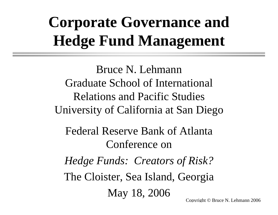# **Corporate Governance and Hedge Fund Management**

Bruce N. LehmannGraduate School of International Relations and Pacific Studies University of California at San Diego

Federal Reserve Bank of AtlantaConference on

*Hedge Funds: Creators of Risk?* The Cloister, Sea Island, Georgia May 18, 2006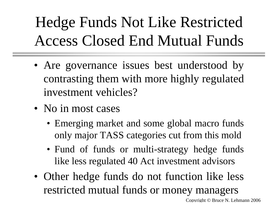Hedge Funds Not Like Restricted Access Closed End Mutual Funds

- Are governance issues best understood by contrasting them with more highly regulated investment vehicles?
- No in most cases
	- Emerging market and some global macro funds only major TASS categories cut from this mold
	- Fund of funds or multi-strategy hedge funds like less regulated 40 Act investment advisors
- Other hedge funds do not function like less restricted mutual funds or money managers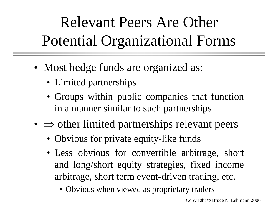# Relevant Peers Are Other Potential Organizational Forms

- Most hedge funds are organized as:
	- Limited partnerships
	- Groups within public companies that function in a manner similar to such partnerships
- $\Rightarrow$  other limited partnerships relevant peers
	- Obvious for private equity-like funds
	- Less obvious for convertible arbitrage, short and long/short equity strategies, fixed income arbitrage, short term event-driven trading, etc.
		- Obvious when viewed as proprietary traders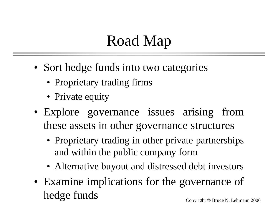#### Road Map

- Sort hedge funds into two categories
	- Proprietary trading firms
	- Private equity
- Explore governance issues arising from these assets in other governance structures
	- Proprietary trading in other private partnerships and within the public company form
	- Alternative buyout and distressed debt investors
- Examine implications for the governance of hedge funds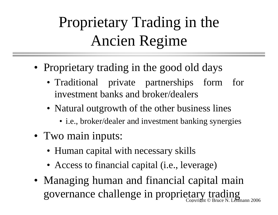# Proprietary Trading in the Ancien Regime

- Proprietary trading in the good old days
	- Traditional private partnerships form for investment banks and broker/dealers
	- Natural outgrowth of the other business lines
		- i.e., broker/dealer and investment banking synergies
- Two main inputs:
	- Human capital with necessary skills
	- Access to financial capital (i.e., leverage)
- Copyright © Bruce N. Lehmann 2006 • Managing human and financial capital main governance challenge in proprietary trading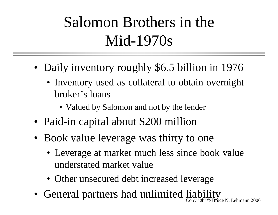#### Salomon Brothers in the Mid-1970s

- • Daily inventory roughly \$6.5 billion in 1976
	- Inventory used as collateral to obtain overnight broker's loans
		- Valued by Salomon and not by the lender
- •Paid-in capital about \$200 million
- Book value leverage was thirty to one
	- Leverage at market much less since book value understated market value
	- Other unsecured debt increased leverage
- Copyright © Bruce N. Lehmann 2006 • General partners had unlimited liability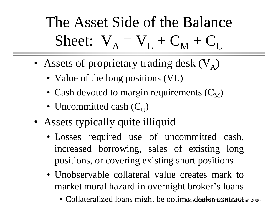The Asset Side of the Balance Sheet:  $V_A = V_L + C_M + C_U$ 

- Assets of proprietary trading desk  $(V_A)$ 
	- Value of the long positions (VL)
	- Cash devoted to margin requirements ( $C_M$ )
	- Uncommitted cash ( $\mathrm{C_{U}}$ )
- Assets typically quite illiquid
	- Losses required use of uncommitted cash, increased borrowing, sales of existing long positions, or covering existing short positions
	- Unobservable collateral value creates mark to market moral hazard in overnight broker's loans
		- Collateralized loans might be optima $b$ deale $B$ r $\epsilon$ ontra $\epsilon$ tann 2006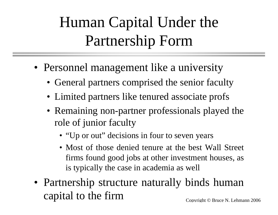# Human Capital Under the Partnership Form

- Personnel management like a university
	- General partners comprised the senior faculty
	- Limited partners like tenured associate profs
	- Remaining non-partner professionals played the role of junior faculty
		- "Up or out" decisions in four to seven years
		- Most of those denied tenure at the best Wall Street firms found good jobs at other investment houses, as is typically the case in academia as well
- Copyright © Bruce N. Lehmann 2006 • Partnership structure naturally binds human capital to the firm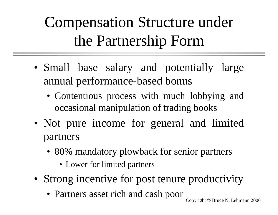Compensation Structure under the Partnership Form

- Small base salary and potentially large annual performance-based bonus
	- Contentious process with much lobbying and occasional manipulation of trading books
- Not pure income for general and limited partners
	- 80% mandatory plowback for senior partners
		- Lower for limited partners
- Strong incentive for post tenure productivity
	- Partners asset rich and cash poor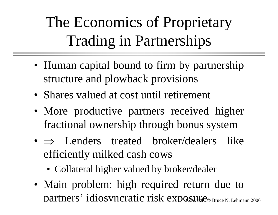The Economics of Proprietary Trading in Partnerships

- Human capital bound to firm by partnership structure and plowback provisions
- Shares valued at cost until retirement
- More productive partners received higher fractional ownership through bonus system
- ⇒ Lenders treated broker/dealers like efficiently milked cash cows
	- Collateral higher valued by broker/dealer
- partners' idiosyncratic risk exposure bruce N. Lehmann 2006 • Main problem: high required return due to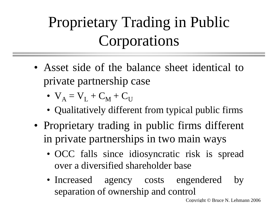### Proprietary Trading in Public Corporations

- Asset side of the balance sheet identical to private partnership case
	- $\bullet\;\;{\rm V}_{\rm A}={\rm V}_{\rm L}+{\rm C}_{\rm M}+{\rm C}_{\rm U}$
	- Qualitatively different from typical public firms
- Proprietary trading in public firms different in private partnerships in two main ways
	- OCC falls since idiosyncratic risk is spread over a diversified shareholder base
	- Increased agency costs engendered by separation of ownership and control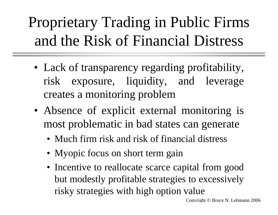# Proprietary Trading in Public Firms and the Risk of Financial Distress

- Lack of transparency regarding profitability, risk exposure, liquidity, and leverage creates a monitoring problem
- Absence of explicit external monitoring is most problematic in bad states can generate
	- Much firm risk and risk of financial distress
	- Myopic focus on short term gain
	- Incentive to reallocate scarce capital from good but modestly profitable strategies to excessively risky strategies with high option value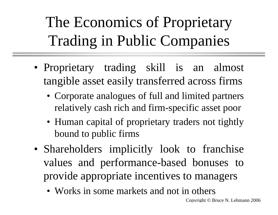The Economics of Proprietary Trading in Public Companies

- Proprietary trading skill is an almost tangible asset easily transferred across firms
	- Corporate analogues of full and limited partners relatively cash rich and firm-specific asset poor
	- Human capital of proprietary traders not tightly bound to public firms
- Shareholders implicitly look to franchise values and performance-based bonuses to provide appropriate incentives to managers
	- Works in some markets and not in others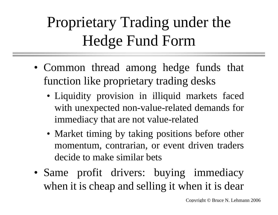### Proprietary Trading under the Hedge Fund Form

- Common thread among hedge funds that function like proprietary trading desks
	- Liquidity provision in illiquid markets faced with unexpected non-value-related demands for immediacy that are not value-related
	- Market timing by taking positions before other momentum, contrarian, or event driven traders decide to make similar bets
- Same profit drivers: buying immediacy when it is cheap and selling it when it is dear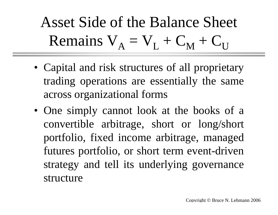Asset Side of the Balance Sheet Remains  $V_A = V_L + C_M + C_U$ 

- Capital and risk structures of all proprietary trading operations are essentially the same across organizational forms
- One simply cannot look at the books of a convertible arbitrage, short or long/short portfolio, fixed income arbitrage, managed futures portfolio, or short term event-driven strategy and tell its underlying governance structure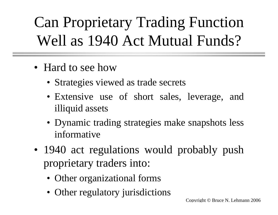Can Proprietary Trading Function Well as 1940 Act Mutual Funds?

- Hard to see how
	- Strategies viewed as trade secrets
	- Extensive use of short sales, leverage, and illiquid assets
	- Dynamic trading strategies make snapshots less informative
- 1940 act regulations would probably push proprietary traders into:
	- Other organizational forms
	- Other regulatory jurisdictions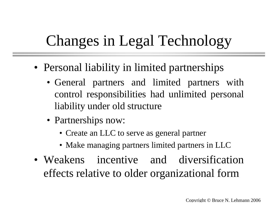#### Changes in Legal Technology

- Personal liability in limited partnerships
	- General partners and limited partners with control responsibilities had unlimited personal liability under old structure
	- Partnerships now:
		- Create an LLC to serve as general partner
		- Make managing partners limited partners in LLC
- Weakens incentive and diversification effects relative to older organizational form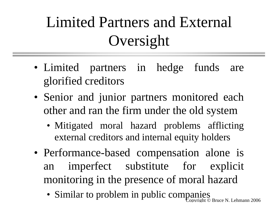# Limited Partners and External Oversight

- Limited partners in hedge funds are glorified creditors
- Senior and junior partners monitored each other and ran the firm under the old system
	- Mitigated moral hazard problems afflicting external creditors and internal equity holders
- Performance-based compensation alone is an imperfect substitute for explicit monitoring in the presence of moral hazard
	- Bruce N. Lehmann 2006 • Similar to problem in public companies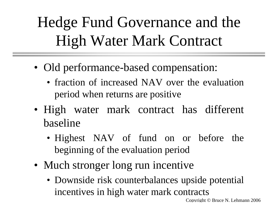Hedge Fund Governance and the High Water Mark Contract

- Old performance-based compensation:
	- fraction of increased NAV over the evaluation period when returns are positive
- High water mark contract has different baseline
	- Highest NAV of fund on or before the beginning of the evaluation period
- Much stronger long run incentive
	- Downside risk counterbalances upside potential incentives in high water mark contracts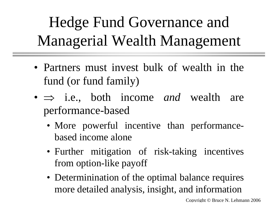# Hedge Fund Governance and Managerial Wealth Management

- Partners must invest bulk of wealth in the fund (or fund family)
- ⇒ i.e., both income *and* wealth are performance-based
	- More powerful incentive than performancebased income alone
	- Further mitigation of risk-taking incentives from option-like payoff
	- Determinination of the optimal balance requires more detailed analysis, insight, and information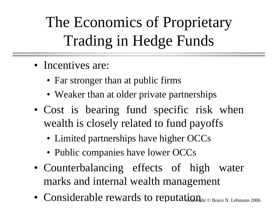The Economics of Proprietary Trading in Hedge Funds

- Incentives are:
	- Far stronger than at public firms
	- Weaker than at older private partnerships
- Cost is bearing fund specific risk when wealth is closely related to fund payoffs
	- Limited partnerships have higher OCCs
	- Public companies have lower OCCs
- Counterbalancing effects of high water marks and internal wealth management
- Considerable rewards to reputation  $P_{\text{H}_\text{zht}}$   $_\text{c}$  Bruce N. Lehmann 2006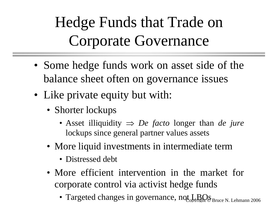Hedge Funds that Trade on Corporate Governance

- Some hedge funds work on asset side of the balance sheet often on governance issues
- Like private equity but with:
	- Shorter lockups
		- Asset illiquidity <sup>⇒</sup> *De facto* longer than *de jure* lockups since general partner values assets
	- More liquid investments in intermediate term
		- Distressed debt
	- More efficient intervention in the market for corporate control via activist hedge funds
		- Targeted changes in governance, not  $\text{LROs}_\text{Bruce N. Lehmann 2006}$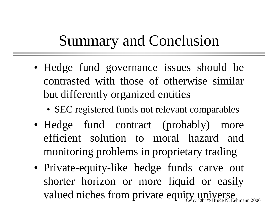#### Summary and Conclusion

- Hedge fund governance issues should be contrasted with those of otherwise similar but differently organized entities
	- SEC registered funds not relevant comparables
- Hedge fund contract (probably) more efficient solution to moral hazard and monitoring problems in proprietary trading
- valued niches from private equity universe N. Lehmann 2006 • Private-equity-like hedge funds carve out shorter horizon or more liquid or easily